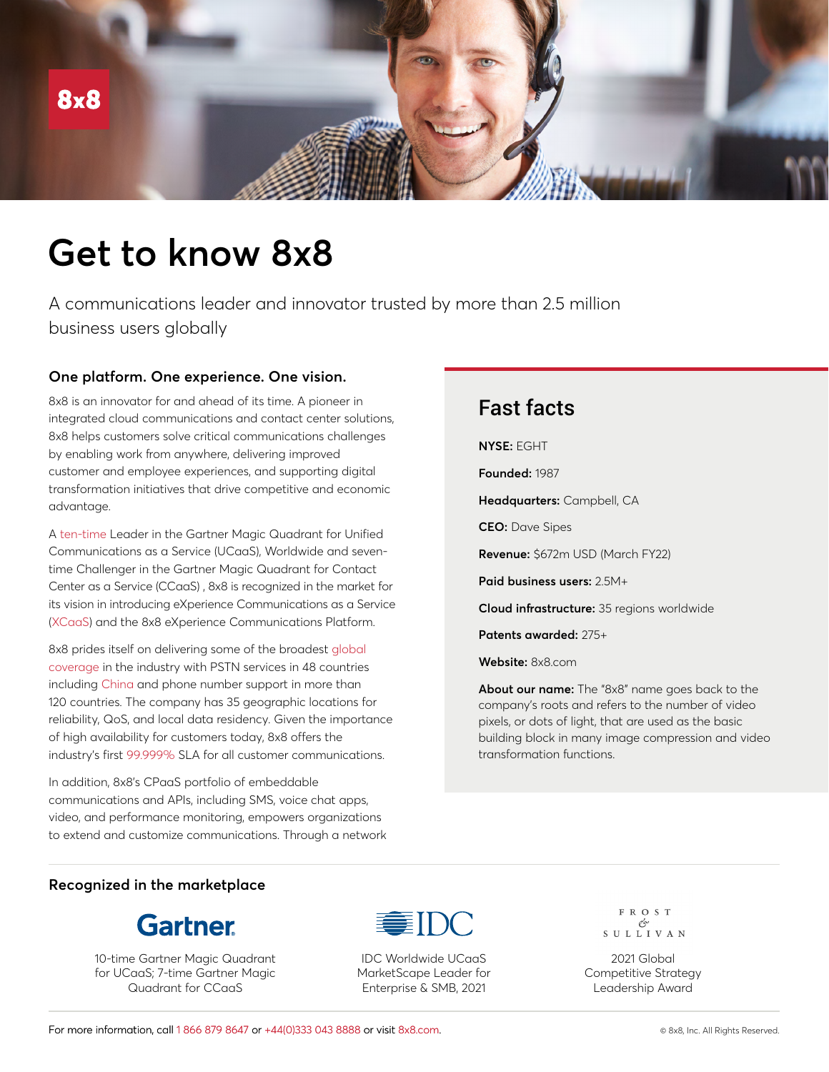

# **Get to know 8x8**

A communications leader and innovator trusted by more than 2.5 million business users globally

## **One platform. One experience. One vision.**

8x8 is an innovator for and ahead of its time. A pioneer in integrated cloud communications and contact center solutions, 8x8 helps customers solve critical communications challenges by enabling work from anywhere, delivering improved customer and employee experiences, and supporting digital transformation initiatives that drive competitive and economic advantage.

A [ten-time](https://www.8x8.com/8/gartner-ucaas-magic-quadrant) Leader in the Gartner Magic Quadrant for Unified Communications as a Service (UCaaS), Worldwide and seventime Challenger in the Gartner Magic Quadrant for Contact Center as a Service (CCaaS) , 8x8 is recognized in the market for its vision in introducing eXperience Communications as a Service [\(XCaaS\)](https://www.8x8.com/8/xcaas) and the 8x8 eXperience Communications Platform.

8x8 prides itself on delivering some of the broadest [global](https://www.8x8.com/why-8x8/global)  [coverage](https://www.8x8.com/why-8x8/global) in the industry with PSTN services in 48 countries including [China](https://investors.8x8.com/press-releases/press-release-details/2021/8x8-Delivers-Industry-First-Cloud-Phone-and-Contact-Center-Solution-for-Multinational-Organizations-in-China/default.aspx) and phone number support in more than 120 countries. The company has 35 geographic locations for reliability, QoS, and local data residency. Given the importance of high availability for customers today, 8x8 offers the industry's first [99.999%](https://investors.8x8.com/press-releases/press-release-details/2021/8x8-XCaaS-Sets-New-Industry-Standard-for-Reliability-Delivers-First-Financially-Backed-Platform-wide-99.999-Global-SLA-Across-Both-UCaaS-and-CCaaS/default.aspx) SLA for all customer communications.

In addition, 8x8's CPaaS portfolio of embeddable communications and APIs, including SMS, voice chat apps, video, and performance monitoring, empowers organizations to extend and customize communications. Through a network

# Fast facts

#### **NYSE:** EGHT

**Founded:** 1987

**Headquarters:** Campbell, CA

**CEO:** Dave Sipes

**Revenue:** \$672m USD (March FY22)

**Paid business users:** 2.5M+

**Cloud infrastructure:** 35 regions worldwide

**Patents awarded:** 275+

**Website:** 8x8.com

**About our name:** The "8x8" name goes back to the company's roots and refers to the number of video pixels, or dots of light, that are used as the basic building block in many image compression and video transformation functions.

#### **Recognized in the marketplace**



10-time Gartner Magic Quadrant for UCaaS; 7-time Gartner Magic Quadrant for CCaaS



IDC Worldwide UCaaS MarketScape Leader for Enterprise & SMB, 2021

FROST  $\begin{array}{c}\n\mathcal{O} \\
\mathcal{O} \\
\mathcal{S} \cup \mathcal{L} \cup \mathcal{I} \cup \mathcal{A} \end{array}$ 

2021 Global Competitive Strategy Leadership Award